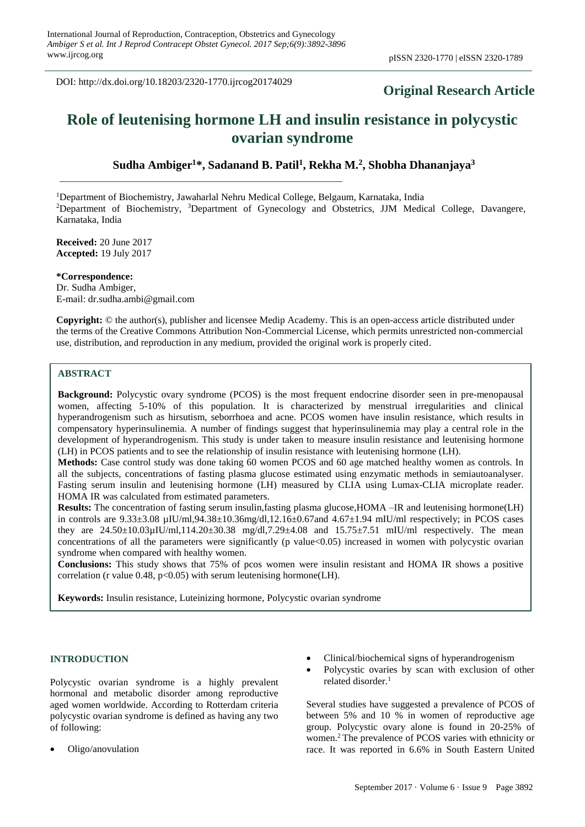DOI: http://dx.doi.org/10.18203/2320-1770.ijrcog20174029

## **Original Research Article**

# **Role of leutenising hormone LH and insulin resistance in polycystic ovarian syndrome**

**Sudha Ambiger<sup>1</sup>\*, Sadanand B. Patil<sup>1</sup> , Rekha M. 2 , Shobha Dhananjaya<sup>3</sup>**

<sup>1</sup>Department of Biochemistry, Jawaharlal Nehru Medical College, Belgaum, Karnataka, India <sup>2</sup>Department of Biochemistry, <sup>3</sup>Department of Gynecology and Obstetrics, JJM Medical College, Davangere, Karnataka, India

**Received:** 20 June 2017 **Accepted:** 19 July 2017

**\*Correspondence:** Dr. Sudha Ambiger, E-mail: dr.sudha.ambi@gmail.com

**Copyright:** © the author(s), publisher and licensee Medip Academy. This is an open-access article distributed under the terms of the Creative Commons Attribution Non-Commercial License, which permits unrestricted non-commercial use, distribution, and reproduction in any medium, provided the original work is properly cited.

## **ABSTRACT**

**Background:** Polycystic ovary syndrome (PCOS) is the most frequent endocrine disorder seen in pre-menopausal women, affecting 5-10% of this population. It is characterized by menstrual irregularities and clinical hyperandrogenism such as hirsutism, seborrhoea and acne. PCOS women have insulin resistance, which results in compensatory hyperinsulinemia. A number of findings suggest that hyperinsulinemia may play a central role in the development of hyperandrogenism. This study is under taken to measure insulin resistance and leutenising hormone (LH) in PCOS patients and to see the relationship of insulin resistance with leutenising hormone (LH).

**Methods:** Case control study was done taking 60 women PCOS and 60 age matched healthy women as controls. In all the subjects, concentrations of fasting plasma glucose estimated using enzymatic methods in semiautoanalyser. Fasting serum insulin and leutenising hormone (LH) measured by CLIA using Lumax-CLIA microplate reader. HOMA IR was calculated from estimated parameters.

**Results:** The concentration of fasting serum insulin,fasting plasma glucose,HOMA –IR and leutenising hormone(LH) in controls are 9.33±3.08 µIU/ml,94.38±10.36mg/dl,12.16±0.67and 4.67±1.94 mIU/ml respectively; in PCOS cases they are 24.50±10.03µIU/ml,114.20±30.38 mg/dl,7.29±4.08 and 15.75±7.51 mIU/ml respectively. The mean concentrations of all the parameters were significantly (p value<0.05) increased in women with polycystic ovarian syndrome when compared with healthy women.

**Conclusions:** This study shows that 75% of pcos women were insulin resistant and HOMA IR shows a positive correlation (r value 0.48,  $p<0.05$ ) with serum leutenising hormone(LH).

**Keywords:** Insulin resistance, Luteinizing hormone, Polycystic ovarian syndrome

## **INTRODUCTION**

Polycystic ovarian syndrome is a highly prevalent hormonal and metabolic disorder among reproductive aged women worldwide. According to Rotterdam criteria polycystic ovarian syndrome is defined as having any two of following:

• Oligo/anovulation

- Clinical/biochemical signs of hyperandrogenism
- Polycystic ovaries by scan with exclusion of other related disorder.<sup>1</sup>

Several studies have suggested a prevalence of PCOS of between 5% and 10 % in women of reproductive age group. Polycystic ovary alone is found in 20-25% of women.<sup>2</sup> The prevalence of PCOS varies with ethnicity or race. It was reported in 6.6% in South Eastern United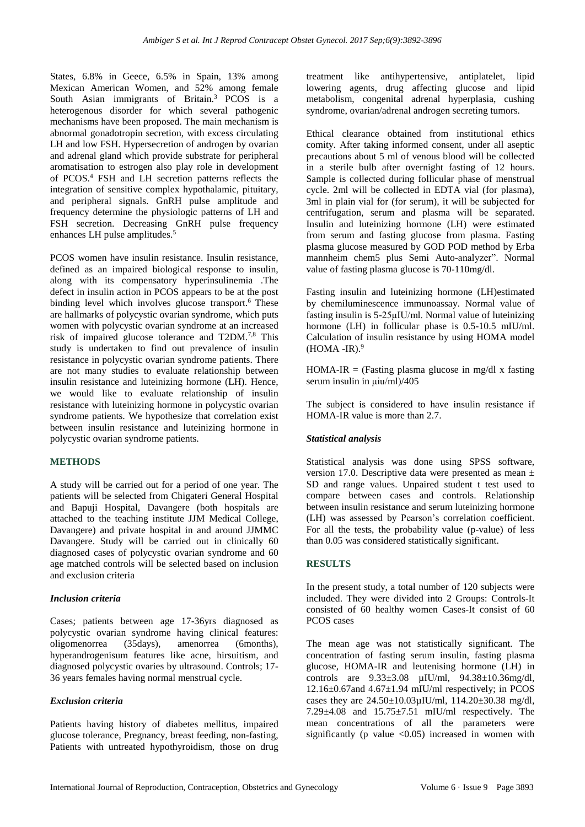States, 6.8% in Geece, 6.5% in Spain, 13% among Mexican American Women, and 52% among female South Asian immigrants of Britain.<sup>3</sup> PCOS is a heterogenous disorder for which several pathogenic mechanisms have been proposed. The main mechanism is abnormal gonadotropin secretion, with excess circulating LH and low FSH. Hypersecretion of androgen by ovarian and adrenal gland which provide substrate for peripheral aromatisation to estrogen also play role in development of PCOS.<sup>4</sup> FSH and LH secretion patterns reflects the integration of sensitive complex hypothalamic, pituitary, and peripheral signals. GnRH pulse amplitude and frequency determine the physiologic patterns of LH and FSH secretion. Decreasing GnRH pulse frequency enhances LH pulse amplitudes.<sup>5</sup>

PCOS women have insulin resistance. Insulin resistance, defined as an impaired biological response to insulin, along with its compensatory hyperinsulinemia .The defect in insulin action in PCOS appears to be at the post binding level which involves glucose transport.<sup>6</sup> These are hallmarks of polycystic ovarian syndrome, which puts women with polycystic ovarian syndrome at an increased risk of impaired glucose tolerance and T2DM.7,8 This study is undertaken to find out prevalence of insulin resistance in polycystic ovarian syndrome patients. There are not many studies to evaluate relationship between insulin resistance and luteinizing hormone (LH). Hence, we would like to evaluate relationship of insulin resistance with luteinizing hormone in polycystic ovarian syndrome patients. We hypothesize that correlation exist between insulin resistance and luteinizing hormone in polycystic ovarian syndrome patients.

## **METHODS**

A study will be carried out for a period of one year. The patients will be selected from Chigateri General Hospital and Bapuji Hospital, Davangere (both hospitals are attached to the teaching institute JJM Medical College, Davangere) and private hospital in and around JJMMC Davangere. Study will be carried out in clinically 60 diagnosed cases of polycystic ovarian syndrome and 60 age matched controls will be selected based on inclusion and exclusion criteria

## *Inclusion criteria*

Cases; patients between age 17-36yrs diagnosed as polycystic ovarian syndrome having clinical features: oligomenorrea (35days), amenorrea (6months), hyperandrogenisum features like acne, hirsuitism, and diagnosed polycystic ovaries by ultrasound. Controls; 17- 36 years females having normal menstrual cycle.

## *Exclusion criteria*

Patients having history of diabetes mellitus, impaired glucose tolerance, Pregnancy, breast feeding, non-fasting, Patients with untreated hypothyroidism, those on drug treatment like antihypertensive, antiplatelet, lipid lowering agents, drug affecting glucose and lipid metabolism, congenital adrenal hyperplasia, cushing syndrome, ovarian/adrenal androgen secreting tumors.

Ethical clearance obtained from institutional ethics comity. After taking informed consent, under all aseptic precautions about 5 ml of venous blood will be collected in a sterile bulb after overnight fasting of 12 hours. Sample is collected during follicular phase of menstrual cycle. 2ml will be collected in EDTA vial (for plasma), 3ml in plain vial for (for serum), it will be subjected for centrifugation, serum and plasma will be separated. Insulin and luteinizing hormone (LH) were estimated from serum and fasting glucose from plasma. Fasting plasma glucose measured by GOD POD method by Erba mannheim chem5 plus Semi Auto-analyzer". Normal value of fasting plasma glucose is 70-110mg/dl.

Fasting insulin and luteinizing hormone (LH)estimated by chemiluminescence immunoassay. Normal value of fasting insulin is 5-25μIU/ml. Normal value of luteinizing hormone (LH) in follicular phase is 0.5-10.5 mIU/ml. Calculation of insulin resistance by using HOMA model  $(HOMA - IR).<sup>9</sup>$ 

HOMA-IR = (Fasting plasma glucose in mg/dl x fasting serum insulin in μiu/ml)/405

The subject is considered to have insulin resistance if HOMA-IR value is more than 2.7.

## *Statistical analysis*

Statistical analysis was done using SPSS software, version 17.0. Descriptive data were presented as mean ± SD and range values. Unpaired student t test used to compare between cases and controls. Relationship between insulin resistance and serum luteinizing hormone (LH) was assessed by Pearson's correlation coefficient. For all the tests, the probability value (p-value) of less than 0.05 was considered statistically significant.

## **RESULTS**

In the present study, a total number of 120 subjects were included. They were divided into 2 Groups: Controls-It consisted of 60 healthy women Cases-It consist of 60 PCOS cases

The mean age was not statistically significant. The concentration of fasting serum insulin, fasting plasma glucose, HOMA-IR and leutenising hormone (LH) in controls are 9.33±3.08 µIU/ml, 94.38±10.36mg/dl,  $12.16\pm0.67$  and  $4.67\pm1.94$  mIU/ml respectively; in PCOS cases they are  $24.50 \pm 10.03 \mu$ IU/ml,  $114.20 \pm 30.38$  mg/dl, 7.29±4.08 and 15.75±7.51 mIU/ml respectively. The mean concentrations of all the parameters were significantly (p value  $\langle 0.05 \rangle$  increased in women with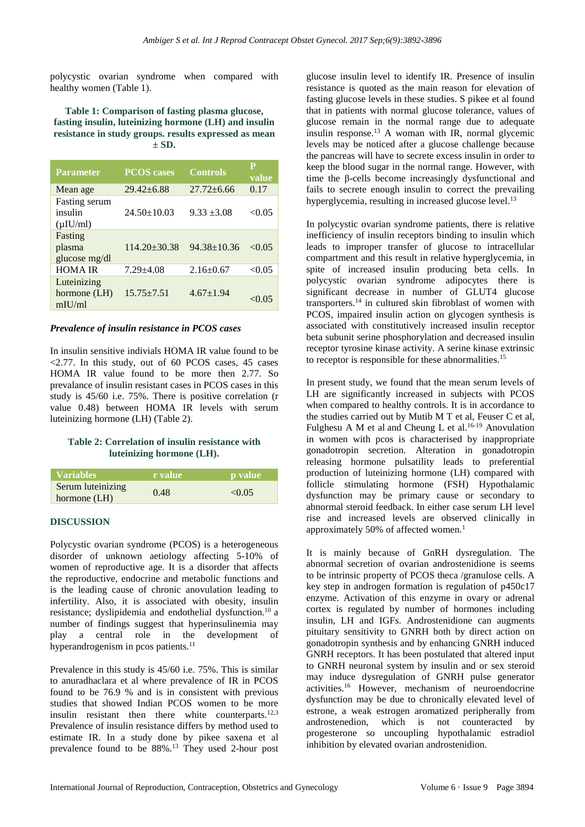polycystic ovarian syndrome when compared with healthy women (Table 1).

#### **Table 1: Comparison of fasting plasma glucose, fasting insulin, luteinizing hormone (LH) and insulin resistance in study groups. results expressed as mean**  $+$  **SD**.

| <b>Parameter</b>                           | <b>PCOS</b> cases  | <b>Controls</b> | P<br>value |
|--------------------------------------------|--------------------|-----------------|------------|
| Mean age                                   | $29.42 + 6.88$     | $27.72 + 6.66$  | 0.17       |
| Fasting serum<br>insulin<br>$(\mu I U/ml)$ | $24.50 \pm 10.03$  | $9.33 + 3.08$   | < 0.05     |
| Fasting<br>plasma<br>glucose mg/dl         | $114.20 \pm 30.38$ | $94.38 + 10.36$ | < 0.05     |
| <b>HOMA IR</b>                             | $7.29 \pm 4.08$    | $2.16 \pm 0.67$ | < 0.05     |
| Luteinizing<br>hormone (LH)<br>mIU/ml      | $15.75 + 7.51$     | $4.67 \pm 1.94$ | < 0.05     |

## *Prevalence of insulin resistance in PCOS cases*

In insulin sensitive indivials HOMA IR value found to be <2.77. In this study, out of 60 PCOS cases, 45 cases HOMA IR value found to be more then 2.77. So prevalance of insulin resistant cases in PCOS cases in this study is 45/60 i.e. 75%. There is positive correlation (r value 0.48) between HOMA IR levels with serum luteinizing hormone (LH) (Table 2).

## **Table 2: Correlation of insulin resistance with luteinizing hormone (LH).**

| <b>Variables</b>                    | r value | <b>p</b> value |
|-------------------------------------|---------|----------------|
| Serum luteinizing<br>hormone $(LH)$ | 0.48    | < 0.05         |

#### **DISCUSSION**

Polycystic ovarian syndrome (PCOS) is a heterogeneous disorder of unknown aetiology affecting 5-10% of women of reproductive age. It is a disorder that affects the reproductive, endocrine and metabolic functions and is the leading cause of chronic anovulation leading to infertility. Also, it is associated with obesity, insulin resistance; dyslipidemia and endothelial dysfunction.<sup>10</sup> a number of findings suggest that hyperinsulinemia may play a central role in the development of hyperandrogenism in pcos patients.<sup>11</sup>

Prevalence in this study is 45/60 i.e. 75%. This is similar to anuradhaclara et al where prevalence of IR in PCOS found to be 76.9 % and is in consistent with previous studies that showed Indian PCOS women to be more insulin resistant then there white counterparts.<sup>12,3</sup> Prevalence of insulin resistance differs by method used to estimate IR. In a study done by pikee saxena et al prevalence found to be 88%.<sup>13</sup> They used 2-hour post glucose insulin level to identify IR. Presence of insulin resistance is quoted as the main reason for elevation of fasting glucose levels in these studies. S pikee et al found that in patients with normal glucose tolerance, values of glucose remain in the normal range due to adequate insulin response.<sup>13</sup> A woman with IR, normal glycemic levels may be noticed after a glucose challenge because the pancreas will have to secrete excess insulin in order to keep the blood sugar in the normal range. However, with time the β-cells become increasingly dysfunctional and fails to secrete enough insulin to correct the prevailing hyperglycemia, resulting in increased glucose level.<sup>13</sup>

In polycystic ovarian syndrome patients, there is relative inefficiency of insulin receptors binding to insulin which leads to improper transfer of glucose to intracellular compartment and this result in relative hyperglycemia, in spite of increased insulin producing beta cells. In polycystic ovarian syndrome adipocytes there is significant decrease in number of GLUT4 glucose transporters.<sup>14</sup> in cultured skin fibroblast of women with PCOS, impaired insulin action on glycogen synthesis is associated with constitutively increased insulin receptor beta subunit serine phosphorylation and decreased insulin receptor tyrosine kinase activity. A serine kinase extrinsic to receptor is responsible for these abnormalities.<sup>15</sup>

In present study, we found that the mean serum levels of LH are significantly increased in subjects with PCOS when compared to healthy controls. It is in accordance to the studies carried out by Mutib M T et al, Feuser C et al, Fulghesu A M et al and Cheung L et al.<sup>16-19</sup> Anovulation in women with pcos is characterised by inappropriate gonadotropin secretion. Alteration in gonadotropin releasing hormone pulsatility leads to preferential production of luteinizing hormone (LH) compared with follicle stimulating hormone (FSH) Hypothalamic dysfunction may be primary cause or secondary to abnormal steroid feedback. In either case serum LH level rise and increased levels are observed clinically in approximately 50% of affected women.<sup>1</sup>

It is mainly because of GnRH dysregulation. The abnormal secretion of ovarian androstenidione is seems to be intrinsic property of PCOS theca /granulose cells. A key step in androgen formation is regulation of p450c17 enzyme. Activation of this enzyme in ovary or adrenal cortex is regulated by number of hormones including insulin, LH and IGFs. Androstenidione can augments pituitary sensitivity to GNRH both by direct action on gonadotropin synthesis and by enhancing GNRH induced GNRH receptors. It has been postulated that altered input to GNRH neuronal system by insulin and or sex steroid may induce dysregulation of GNRH pulse generator activities.<sup>16</sup> However, mechanism of neuroendocrine dysfunction may be due to chronically elevated level of estrone, a weak estrogen aromatized peripherally from androstenedion, which is not counteracted by progesterone so uncoupling hypothalamic estradiol inhibition by elevated ovarian androstenidion.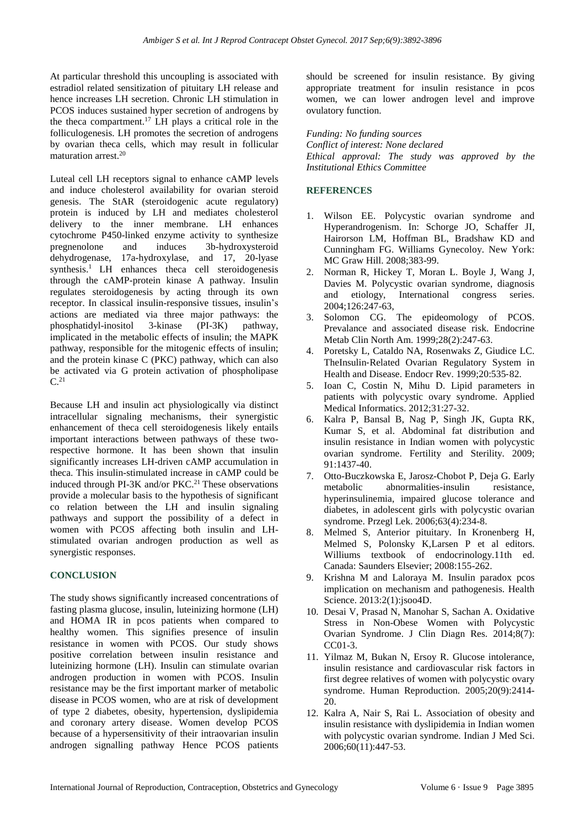At particular threshold this uncoupling is associated with estradiol related sensitization of pituitary LH release and hence increases LH secretion. Chronic LH stimulation in PCOS induces sustained hyper secretion of androgens by the theca compartment.<sup>17</sup> LH plays a critical role in the folliculogenesis. LH promotes the secretion of androgens by ovarian theca cells, which may result in follicular maturation arrest.<sup>20</sup>

Luteal cell LH receptors signal to enhance cAMP levels and induce cholesterol availability for ovarian steroid genesis. The StAR (steroidogenic acute regulatory) protein is induced by LH and mediates cholesterol delivery to the inner membrane. LH enhances cytochrome P450-linked enzyme activity to synthesize pregnenolone and induces 3b-hydroxysteroid dehydrogenase, 17a-hydroxylase, and 17, 20-lyase synthesis.<sup>1</sup> LH enhances theca cell steroidogenesis through the cAMP-protein kinase A pathway. Insulin regulates steroidogenesis by acting through its own receptor. In classical insulin-responsive tissues, insulin's actions are mediated via three major pathways: the phosphatidyl-inositol 3-kinase (PI-3K) pathway, implicated in the metabolic effects of insulin; the MAPK pathway, responsible for the mitogenic effects of insulin; and the protein kinase C (PKC) pathway, which can also be activated via G protein activation of phospholipase  $C.^{21}$ 

Because LH and insulin act physiologically via distinct intracellular signaling mechanisms, their synergistic enhancement of theca cell steroidogenesis likely entails important interactions between pathways of these tworespective hormone. It has been shown that insulin significantly increases LH-driven cAMP accumulation in theca. This insulin-stimulated increase in cAMP could be induced through PI-3K and/or  $PKC<sup>21</sup>$  These observations provide a molecular basis to the hypothesis of significant co relation between the LH and insulin signaling pathways and support the possibility of a defect in women with PCOS affecting both insulin and LHstimulated ovarian androgen production as well as synergistic responses.

## **CONCLUSION**

The study shows significantly increased concentrations of fasting plasma glucose, insulin, luteinizing hormone (LH) and HOMA IR in pcos patients when compared to healthy women. This signifies presence of insulin resistance in women with PCOS. Our study shows positive correlation between insulin resistance and luteinizing hormone (LH). Insulin can stimulate ovarian androgen production in women with PCOS. Insulin resistance may be the first important marker of metabolic disease in PCOS women, who are at risk of development of type 2 diabetes, obesity, hypertension, dyslipidemia and coronary artery disease. Women develop PCOS because of a hypersensitivity of their intraovarian insulin androgen signalling pathway Hence PCOS patients should be screened for insulin resistance. By giving appropriate treatment for insulin resistance in pcos women, we can lower androgen level and improve ovulatory function.

*Funding: No funding sources Conflict of interest: None declared Ethical approval: The study was approved by the Institutional Ethics Committee*

## **REFERENCES**

- 1. Wilson EE. Polycystic ovarian syndrome and Hyperandrogenism. In: Schorge JO, Schaffer JI, Hairorson LM, Hoffman BL, Bradshaw KD and Cunningham FG. Williams Gynecoloy. New York: MC Graw Hill. 2008;383-99.
- 2. Norman R, Hickey T, Moran L. Boyle J, Wang J, Davies M. Polycystic ovarian syndrome, diagnosis and etiology, International congress series. 2004;126:247-63,
- 3. Solomon CG. The epideomology of PCOS. Prevalance and associated disease risk. Endocrine Metab Clin North Am. 1999;28(2):247-63.
- 4. Poretsky L, Cataldo NA, Rosenwaks Z, Giudice LC. TheInsulin‐Related Ovarian Regulatory System in Health and Disease. Endocr Rev. 1999;20:535‐82.
- 5. Ioan C, Costin N, Mihu D. Lipid parameters in patients with polycystic ovary syndrome. Applied Medical Informatics. 2012;31:27-32.
- 6. Kalra P, Bansal B, Nag P, Singh JK, Gupta RK, Kumar S, et al. Abdominal fat distribution and insulin resistance in Indian women with polycystic ovarian syndrome. Fertility and Sterility. 2009; 91:1437-40.
- 7. Otto-Buczkowska E, Jarosz-Chobot P, Deja G. Early metabolic abnormalities-insulin resistance, hyperinsulinemia, impaired glucose tolerance and diabetes, in adolescent girls with polycystic ovarian syndrome. Przegl Lek. 2006;63(4):234-8.
- 8. Melmed S, Anterior pituitary. In Kronenberg H, Melmed S, Polonsky K,Larsen P et al editors. Williums textbook of endocrinology.11th ed. Canada: Saunders Elsevier; 2008:155-262.
- 9. Krishna M and Laloraya M. Insulin paradox pcos implication on mechanism and pathogenesis. Health Science. 2013:2(1):jsoo4D.
- 10. Desai V, Prasad N, Manohar S, Sachan A. Oxidative Stress in Non-Obese Women with Polycystic Ovarian Syndrome. J Clin Diagn Res. 2014;8(7): CC01-3.
- 11. Yilmaz M, Bukan N, Ersoy R. Glucose intolerance, insulin resistance and cardiovascular risk factors in first degree relatives of women with polycystic ovary syndrome. Human Reproduction. 2005;20(9):2414- 20.
- 12. Kalra A, Nair S, Rai L. Association of obesity and insulin resistance with dyslipidemia in Indian women with polycystic ovarian syndrome. Indian J Med Sci. 2006;60(11):447-53.